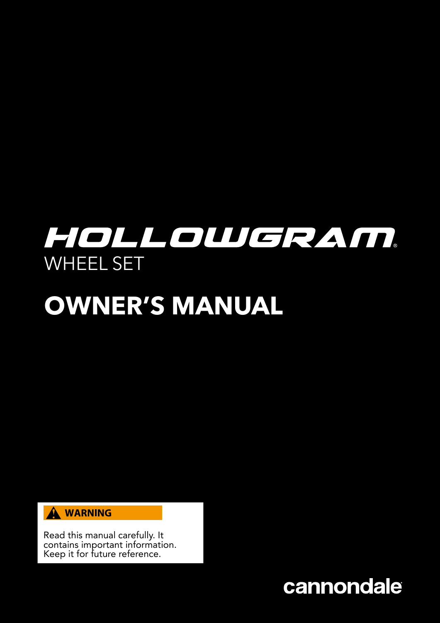# HOLLOWGRAM. WHEEL SET

# **OWNER'S MANUAL**



Read this manual carefully. It contains important information. Keep it for future reference.

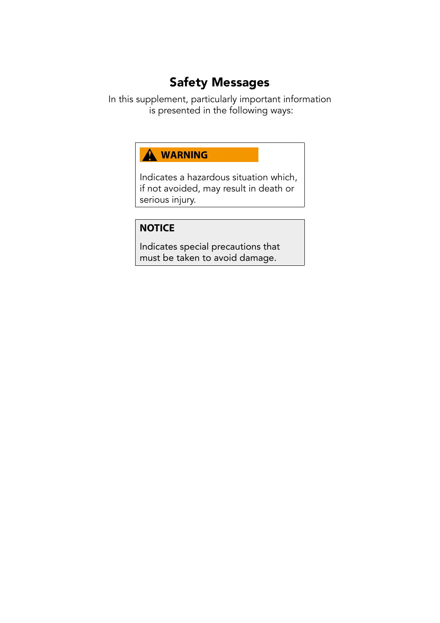### Safety Messages

In this supplement, particularly important information is presented in the following ways:

#### A WARNING

Indicates a hazardous situation which, if not avoided, may result in death or serious injury.

#### **NOTICE**

Indicates special precautions that must be taken to avoid damage.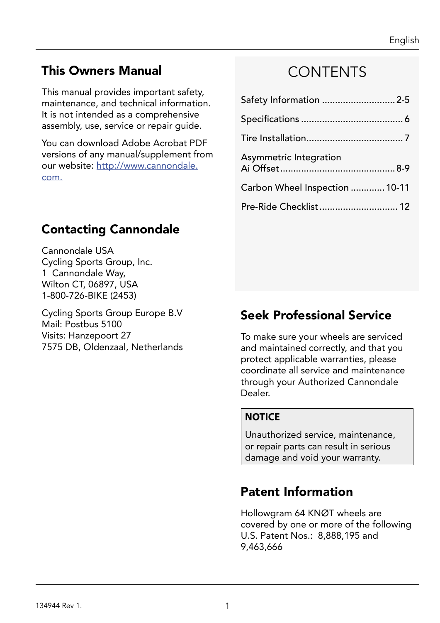### This Owners Manual

This manual provides important safety, maintenance, and technical information. It is not intended as a comprehensive assembly, use, service or repair guide.

You can download Adobe Acrobat PDF versions of any manual/supplement from our website: http://www.cannondale. com.

### **CONTENTS**

| Safety Information 2-5         |  |
|--------------------------------|--|
|                                |  |
|                                |  |
| Asymmetric Integration         |  |
| Carbon Wheel Inspection  10-11 |  |
| Pre-Ride Checklist 12          |  |

### Contacting Cannondale

Cannondale USA Cycling Sports Group, Inc. 1 Cannondale Way, Wilton CT, 06897, USA 1-800-726-BIKE (2453)

Cycling Sports Group Europe B.V Mail: Postbus 5100 Visits: Hanzepoort 27 7575 DB, Oldenzaal, Netherlands

### Seek Professional Service

To make sure your wheels are serviced and maintained correctly, and that you protect applicable warranties, please coordinate all service and maintenance through your Authorized Cannondale Dealer.

#### **NOTICE**

Unauthorized service, maintenance, or repair parts can result in serious damage and void your warranty.

### Patent Information

Hollowgram 64 KNØT wheels are covered by one or more of the following U.S. Patent Nos.: 8,888,195 and 9,463,666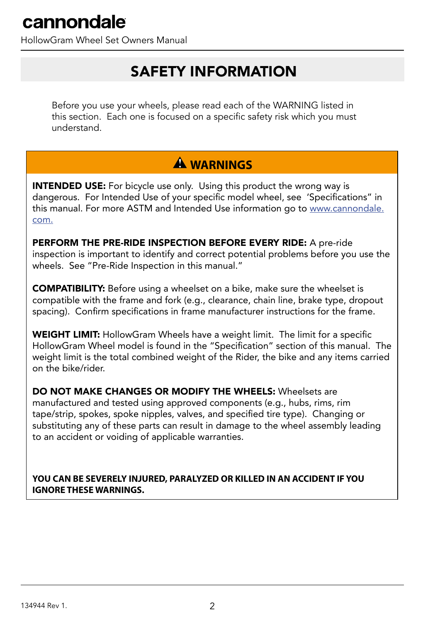HollowGram Wheel Set Owners Manual

### SAFETY INFORMATION

Before you use your wheels, please read each of the WARNING listed in this section. Each one is focused on a specific safety risk which you must understand.

### **WARNINGS**

**INTENDED USE:** For bicycle use only. Using this product the wrong way is dangerous. For Intended Use of your specific model wheel, see 'Specifications" in this manual. For more ASTM and Intended Use information go to www.cannondale. com.

PERFORM THE PRE-RIDE INSPECTION BEFORE EVERY RIDE: A pre-ride inspection is important to identify and correct potential problems before you use the wheels. See "Pre-Ride Inspection in this manual."

COMPATIBILITY: Before using a wheelset on a bike, make sure the wheelset is compatible with the frame and fork (e.g., clearance, chain line, brake type, dropout spacing). Confirm specifications in frame manufacturer instructions for the frame.

WEIGHT LIMIT: HollowGram Wheels have a weight limit. The limit for a specific HollowGram Wheel model is found in the "Specification" section of this manual. The weight limit is the total combined weight of the Rider, the bike and any items carried on the bike/rider.

DO NOT MAKE CHANGES OR MODIFY THE WHEELS: Wheelsets are manufactured and tested using approved components (e.g., hubs, rims, rim tape/strip, spokes, spoke nipples, valves, and specified tire type). Changing or substituting any of these parts can result in damage to the wheel assembly leading to an accident or voiding of applicable warranties.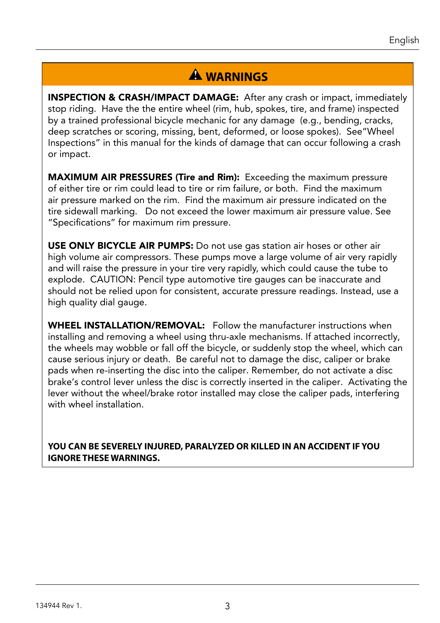### **WARNINGS**

INSPECTION & CRASH/IMPACT DAMAGE: After any crash or impact, immediately stop riding. Have the the entire wheel (rim, hub, spokes, tire, and frame) inspected by a trained professional bicycle mechanic for any damage (e.g., bending, cracks, deep scratches or scoring, missing, bent, deformed, or loose spokes). See"Wheel Inspections" in this manual for the kinds of damage that can occur following a crash or impact.

MAXIMUM AIR PRESSURES (Tire and Rim): Exceeding the maximum pressure of either tire or rim could lead to tire or rim failure, or both. Find the maximum air pressure marked on the rim. Find the maximum air pressure indicated on the tire sidewall marking. Do not exceed the lower maximum air pressure value. See "Specifications" for maximum rim pressure.

USE ONLY BICYCLE AIR PUMPS: Do not use gas station air hoses or other air high volume air compressors. These pumps move a large volume of air very rapidly and will raise the pressure in your tire very rapidly, which could cause the tube to explode. CAUTION: Pencil type automotive tire gauges can be inaccurate and should not be relied upon for consistent, accurate pressure readings. Instead, use a high quality dial gauge.

WHEEL INSTALLATION/REMOVAL: Follow the manufacturer instructions when installing and removing a wheel using thru-axle mechanisms. If attached incorrectly, the wheels may wobble or fall off the bicycle, or suddenly stop the wheel, which can cause serious injury or death. Be careful not to damage the disc, caliper or brake pads when re-inserting the disc into the caliper. Remember, do not activate a disc brake's control lever unless the disc is correctly inserted in the caliper. Activating the lever without the wheel/brake rotor installed may close the caliper pads, interfering with wheel installation.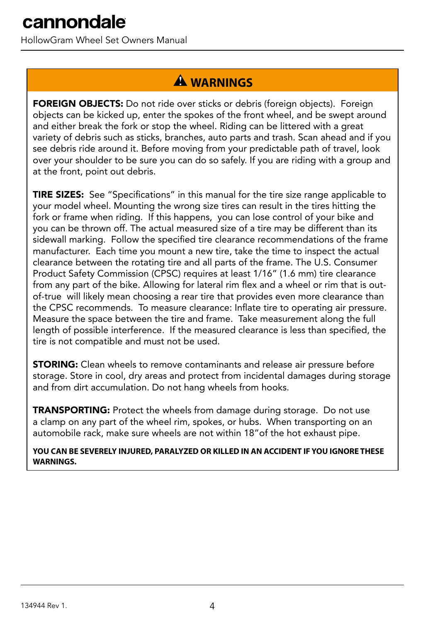HollowGram Wheel Set Owners Manual

### **A** WARNINGS

FOREIGN OBJECTS: Do not ride over sticks or debris (foreign objects). Foreign objects can be kicked up, enter the spokes of the front wheel, and be swept around and either break the fork or stop the wheel. Riding can be littered with a great variety of debris such as sticks, branches, auto parts and trash. Scan ahead and if you see debris ride around it. Before moving from your predictable path of travel, look over your shoulder to be sure you can do so safely. If you are riding with a group and at the front, point out debris.

TIRE SIZES: See "Specifications" in this manual for the tire size range applicable to your model wheel. Mounting the wrong size tires can result in the tires hitting the fork or frame when riding. If this happens, you can lose control of your bike and you can be thrown off. The actual measured size of a tire may be different than its sidewall marking. Follow the specified tire clearance recommendations of the frame manufacturer. Each time you mount a new tire, take the time to inspect the actual clearance between the rotating tire and all parts of the frame. The U.S. Consumer Product Safety Commission (CPSC) requires at least 1/16" (1.6 mm) tire clearance from any part of the bike. Allowing for lateral rim flex and a wheel or rim that is outof-true will likely mean choosing a rear tire that provides even more clearance than the CPSC recommends. To measure clearance: Inflate tire to operating air pressure. Measure the space between the tire and frame. Take measurement along the full length of possible interference. If the measured clearance is less than specified, the tire is not compatible and must not be used.

**STORING:** Clean wheels to remove contaminants and release air pressure before storage. Store in cool, dry areas and protect from incidental damages during storage and from dirt accumulation. Do not hang wheels from hooks.

TRANSPORTING: Protect the wheels from damage during storage. Do not use a clamp on any part of the wheel rim, spokes, or hubs. When transporting on an automobile rack, make sure wheels are not within 18"of the hot exhaust pipe.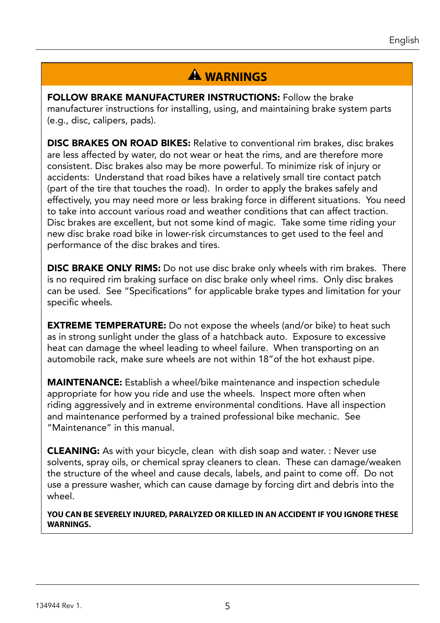### **A** WARNINGS

FOLLOW BRAKE MANUFACTURER INSTRUCTIONS: Follow the brake manufacturer instructions for installing, using, and maintaining brake system parts (e.g., disc, calipers, pads).

DISC BRAKES ON ROAD BIKES: Relative to conventional rim brakes, disc brakes are less affected by water, do not wear or heat the rims, and are therefore more consistent. Disc brakes also may be more powerful. To minimize risk of injury or accidents: Understand that road bikes have a relatively small tire contact patch (part of the tire that touches the road). In order to apply the brakes safely and effectively, you may need more or less braking force in different situations. You need to take into account various road and weather conditions that can affect traction. Disc brakes are excellent, but not some kind of magic. Take some time riding your new disc brake road bike in lower-risk circumstances to get used to the feel and performance of the disc brakes and tires.

**DISC BRAKE ONLY RIMS:** Do not use disc brake only wheels with rim brakes. There is no required rim braking surface on disc brake only wheel rims. Only disc brakes can be used. See "Specifications" for applicable brake types and limitation for your specific wheels.

**EXTREME TEMPERATURE:** Do not expose the wheels (and/or bike) to heat such as in strong sunlight under the glass of a hatchback auto. Exposure to excessive heat can damage the wheel leading to wheel failure. When transporting on an automobile rack, make sure wheels are not within 18"of the hot exhaust pipe.

MAINTENANCE: Establish a wheel/bike maintenance and inspection schedule appropriate for how you ride and use the wheels. Inspect more often when riding aggressively and in extreme environmental conditions. Have all inspection and maintenance performed by a trained professional bike mechanic. See "Maintenance" in this manual.

**CLEANING:** As with your bicycle, clean with dish soap and water. : Never use solvents, spray oils, or chemical spray cleaners to clean. These can damage/weaken the structure of the wheel and cause decals, labels, and paint to come off. Do not use a pressure washer, which can cause damage by forcing dirt and debris into the wheel.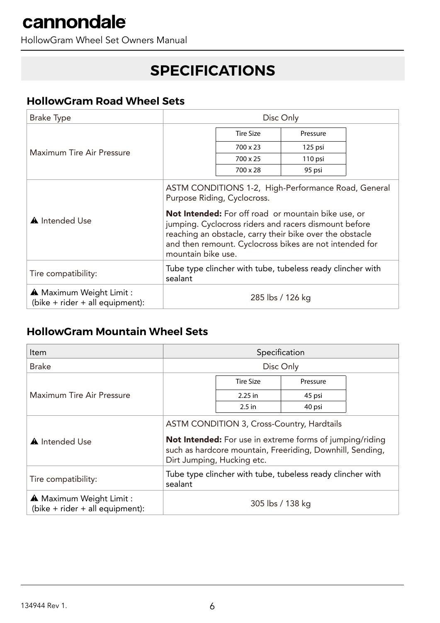HollowGram Wheel Set Owners Manual

### **SPECIFICATIONS**

#### **HollowGram Road Wheel Sets**

| <b>Brake Type</b>                                                      | Disc Only                                                                                                                                                                                                                                                                                                                                              |                  |          |  |
|------------------------------------------------------------------------|--------------------------------------------------------------------------------------------------------------------------------------------------------------------------------------------------------------------------------------------------------------------------------------------------------------------------------------------------------|------------------|----------|--|
| Maximum Tire Air Pressure                                              |                                                                                                                                                                                                                                                                                                                                                        | <b>Tire Size</b> | Pressure |  |
|                                                                        |                                                                                                                                                                                                                                                                                                                                                        | $700 \times 23$  | 125 psi  |  |
|                                                                        |                                                                                                                                                                                                                                                                                                                                                        | 700 x 25         | 110 psi  |  |
|                                                                        |                                                                                                                                                                                                                                                                                                                                                        | 700 x 28         | 95 psi   |  |
| <b>A</b> Intended Use                                                  | ASTM CONDITIONS 1-2, High-Performance Road, General<br>Purpose Riding, Cyclocross.<br><b>Not Intended:</b> For off road or mountain bike use, or<br>jumping. Cyclocross riders and racers dismount before<br>reaching an obstacle, carry their bike over the obstacle<br>and then remount. Cyclocross bikes are not intended for<br>mountain bike use. |                  |          |  |
| Tire compatibility:                                                    | Tube type clincher with tube, tubeless ready clincher with<br>sealant                                                                                                                                                                                                                                                                                  |                  |          |  |
| <b>A</b> Maximum Weight Limit :<br>(bike $+$ rider $+$ all equipment): | 285 lbs / 126 kg                                                                                                                                                                                                                                                                                                                                       |                  |          |  |

#### **HollowGram Mountain Wheel Sets**

| ltem                                                                   | Specification                                                                                                                                                                                            |                  |          |  |
|------------------------------------------------------------------------|----------------------------------------------------------------------------------------------------------------------------------------------------------------------------------------------------------|------------------|----------|--|
| <b>Brake</b>                                                           | Disc Only                                                                                                                                                                                                |                  |          |  |
| Maximum Tire Air Pressure                                              |                                                                                                                                                                                                          | <b>Tire Size</b> | Pressure |  |
|                                                                        |                                                                                                                                                                                                          | 2.25 in          | 45 psi   |  |
|                                                                        |                                                                                                                                                                                                          | $2.5$ in         | 40 psi   |  |
| A Intended Use                                                         | ASTM CONDITION 3, Cross-Country, Hardtails<br><b>Not Intended:</b> For use in extreme forms of jumping/riding<br>such as hardcore mountain, Freeriding, Downhill, Sending,<br>Dirt Jumping, Hucking etc. |                  |          |  |
| Tire compatibility:                                                    | Tube type clincher with tube, tubeless ready clincher with<br>sealant                                                                                                                                    |                  |          |  |
| <b>A</b> Maximum Weight Limit :<br>(bike $+$ rider $+$ all equipment): | 305 lbs / 138 kg                                                                                                                                                                                         |                  |          |  |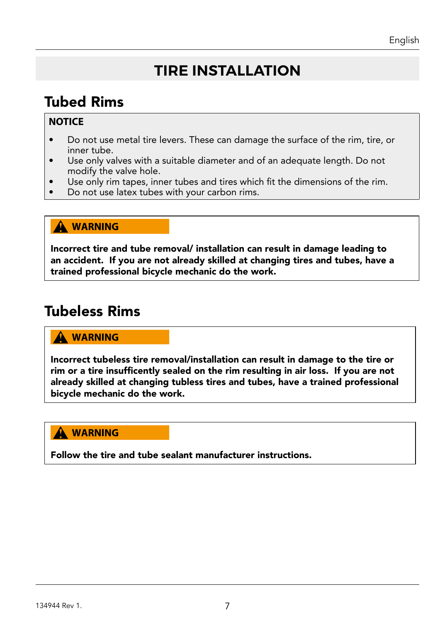# **TIRE INSTALLATION**

# Tubed Rims

#### **NOTICE**

- Do not use metal tire levers. These can damage the surface of the rim, tire, or inner tube.
- Use only valves with a suitable diameter and of an adequate length. Do not modify the valve hole.
- Use only rim tapes, inner tubes and tires which fit the dimensions of the rim.
- Do not use latex tubes with your carbon rims.

#### **A WARNING**

Incorrect tire and tube removal/ installation can result in damage leading to an accident. If you are not already skilled at changing tires and tubes, have a trained professional bicycle mechanic do the work.

### Tubeless Rims

#### **WARNING**

Incorrect tubeless tire removal/installation can result in damage to the tire or rim or a tire insufficently sealed on the rim resulting in air loss. If you are not already skilled at changing tubless tires and tubes, have a trained professional bicycle mechanic do the work.

#### **A** WARNING

Follow the tire and tube sealant manufacturer instructions.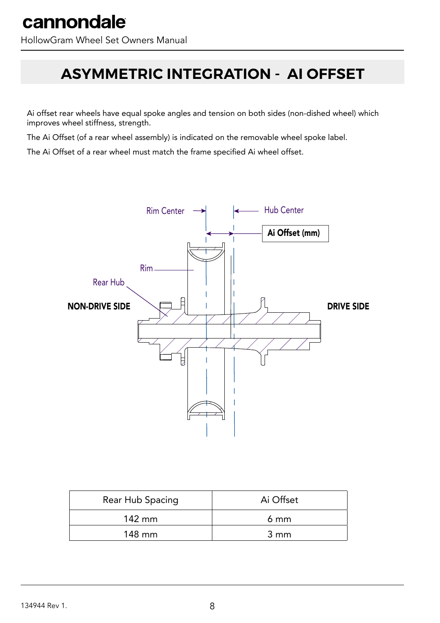# **ASYMMETRIC INTEGRATION - AI OFFSET**

Ai offset rear wheels have equal spoke angles and tension on both sides (non-dished wheel) which improves wheel stiffness, strength.

The Ai Offset (of a rear wheel assembly) is indicated on the removable wheel spoke label.

The Ai Offset of a rear wheel must match the frame specified Ai wheel offset.



| Rear Hub Spacing | Ai Offset |
|------------------|-----------|
| $142 \text{ mm}$ | 6 mm      |
| 148 mm           | 3 mm      |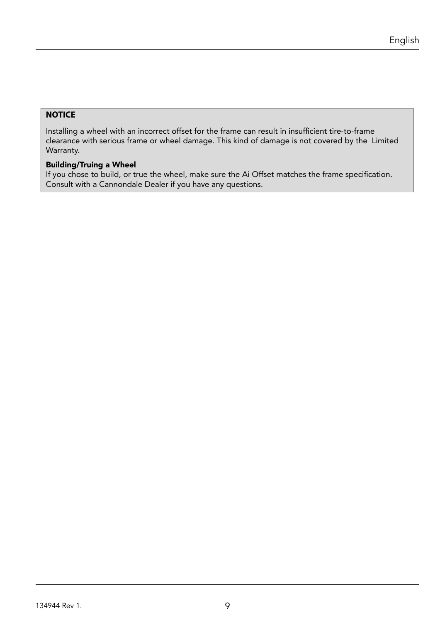#### **NOTICE**

Installing a wheel with an incorrect offset for the frame can result in insufficient tire-to-frame clearance with serious frame or wheel damage. This kind of damage is not covered by the Limited Warranty.

#### Building/Truing a Wheel

If you chose to build, or true the wheel, make sure the Ai Offset matches the frame specification. Consult with a Cannondale Dealer if you have any questions.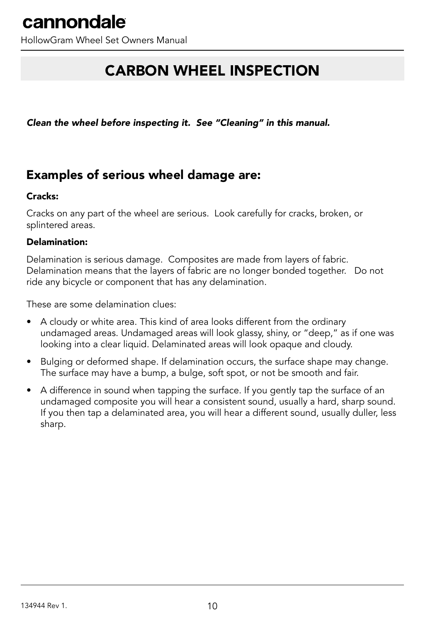HollowGram Wheel Set Owners Manual

## CARBON WHEEL INSPECTION

*Clean the wheel before inspecting it. See "Cleaning" in this manual.*

### Examples of serious wheel damage are:

#### Cracks:

Cracks on any part of the wheel are serious. Look carefully for cracks, broken, or splintered areas.

#### Delamination:

Delamination is serious damage. Composites are made from layers of fabric. Delamination means that the layers of fabric are no longer bonded together. Do not ride any bicycle or component that has any delamination.

These are some delamination clues:

- A cloudy or white area. This kind of area looks different from the ordinary undamaged areas. Undamaged areas will look glassy, shiny, or "deep," as if one was looking into a clear liquid. Delaminated areas will look opaque and cloudy.
- Bulging or deformed shape. If delamination occurs, the surface shape may change. The surface may have a bump, a bulge, soft spot, or not be smooth and fair.
- A difference in sound when tapping the surface. If you gently tap the surface of an undamaged composite you will hear a consistent sound, usually a hard, sharp sound. If you then tap a delaminated area, you will hear a different sound, usually duller, less sharp.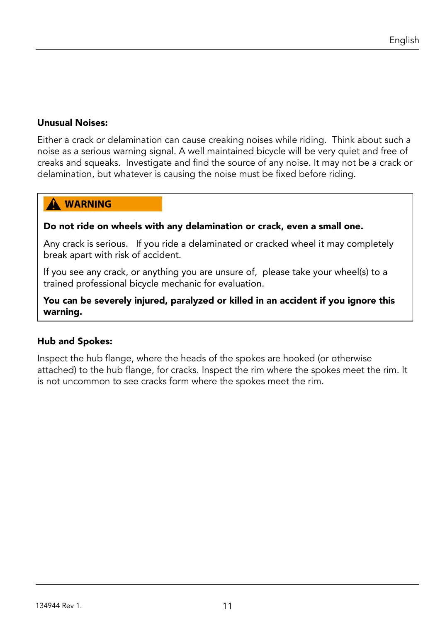#### Unusual Noises:

Either a crack or delamination can cause creaking noises while riding. Think about such a noise as a serious warning signal. A well maintained bicycle will be very quiet and free of creaks and squeaks. Investigate and find the source of any noise. It may not be a crack or delamination, but whatever is causing the noise must be fixed before riding.

#### **WARNING**

#### Do not ride on wheels with any delamination or crack, even a small one.

Any crack is serious. If you ride a delaminated or cracked wheel it may completely break apart with risk of accident.

If you see any crack, or anything you are unsure of, please take your wheel(s) to a trained professional bicycle mechanic for evaluation.

#### You can be severely injured, paralyzed or killed in an accident if you ignore this warning.

#### Hub and Spokes:

Inspect the hub flange, where the heads of the spokes are hooked (or otherwise attached) to the hub flange, for cracks. Inspect the rim where the spokes meet the rim. It is not uncommon to see cracks form where the spokes meet the rim.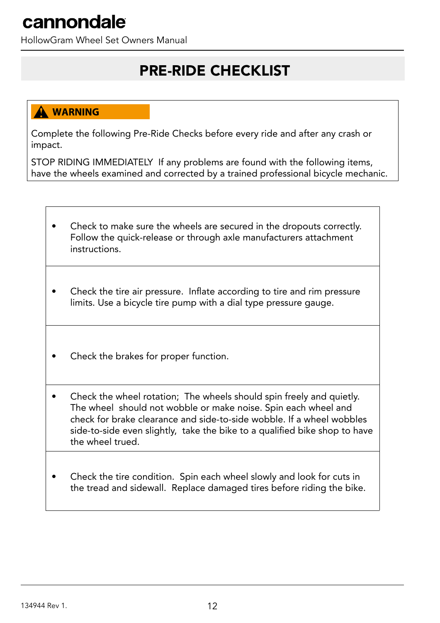HollowGram Wheel Set Owners Manual

### PRE-RIDE CHECKLIST

#### **WARNING**

Complete the following Pre-Ride Checks before every ride and after any crash or impact.

STOP RIDING IMMEDIATELY If any problems are found with the following items, have the wheels examined and corrected by a trained professional bicycle mechanic.

- Check to make sure the wheels are secured in the dropouts correctly. Follow the quick-release or through axle manufacturers attachment instructions.
- Check the tire air pressure. Inflate according to tire and rim pressure limits. Use a bicycle tire pump with a dial type pressure gauge.
- Check the brakes for proper function.
- Check the wheel rotation; The wheels should spin freely and quietly. The wheel should not wobble or make noise. Spin each wheel and check for brake clearance and side-to-side wobble. If a wheel wobbles side-to-side even slightly, take the bike to a qualified bike shop to have the wheel trued.
- Check the tire condition. Spin each wheel slowly and look for cuts in the tread and sidewall. Replace damaged tires before riding the bike.